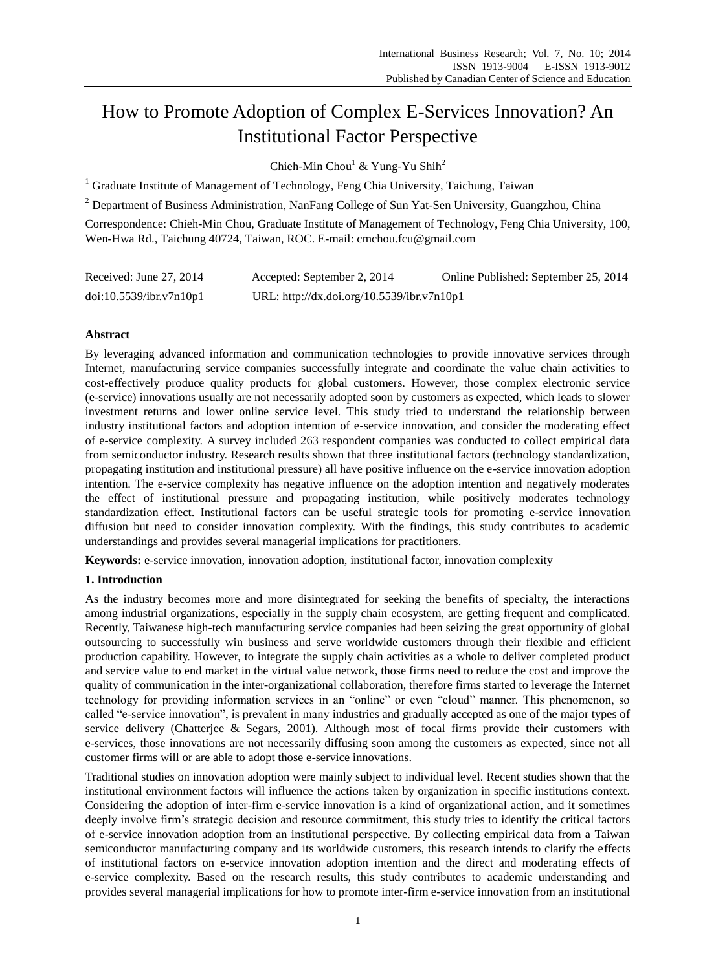# How to Promote Adoption of Complex E-Services Innovation? An Institutional Factor Perspective

Chieh-Min Chou<sup>1</sup> & Yung-Yu Shih<sup>2</sup>

 $1$  Graduate Institute of Management of Technology, Feng Chia University, Taichung, Taiwan

<sup>2</sup> Department of Business Administration, NanFang College of Sun Yat-Sen University, Guangzhou, China

Correspondence: Chieh-Min Chou, Graduate Institute of Management of Technology, Feng Chia University, 100, Wen-Hwa Rd., Taichung 40724, Taiwan, ROC. E-mail: cmchou.fcu@gmail.com

| Received: June 27, 2014 | Accepted: September 2, 2014                | Online Published: September 25, 2014 |
|-------------------------|--------------------------------------------|--------------------------------------|
| doi:10.5539/ibr.v7n10p1 | URL: http://dx.doi.org/10.5539/ibr.v7n10p1 |                                      |

# **Abstract**

By leveraging advanced information and communication technologies to provide innovative services through Internet, manufacturing service companies successfully integrate and coordinate the value chain activities to cost-effectively produce quality products for global customers. However, those complex electronic service (e-service) innovations usually are not necessarily adopted soon by customers as expected, which leads to slower investment returns and lower online service level. This study tried to understand the relationship between industry institutional factors and adoption intention of e-service innovation, and consider the moderating effect of e-service complexity. A survey included 263 respondent companies was conducted to collect empirical data from semiconductor industry. Research results shown that three institutional factors (technology standardization, propagating institution and institutional pressure) all have positive influence on the e-service innovation adoption intention. The e-service complexity has negative influence on the adoption intention and negatively moderates the effect of institutional pressure and propagating institution, while positively moderates technology standardization effect. Institutional factors can be useful strategic tools for promoting e-service innovation diffusion but need to consider innovation complexity. With the findings, this study contributes to academic understandings and provides several managerial implications for practitioners.

**Keywords:** e-service innovation, innovation adoption, institutional factor, innovation complexity

# **1. Introduction**

As the industry becomes more and more disintegrated for seeking the benefits of specialty, the interactions among industrial organizations, especially in the supply chain ecosystem, are getting frequent and complicated. Recently, Taiwanese high-tech manufacturing service companies had been seizing the great opportunity of global outsourcing to successfully win business and serve worldwide customers through their flexible and efficient production capability. However, to integrate the supply chain activities as a whole to deliver completed product and service value to end market in the virtual value network, those firms need to reduce the cost and improve the quality of communication in the inter-organizational collaboration, therefore firms started to leverage the Internet technology for providing information services in an "online" or even "cloud" manner. This phenomenon, so called "e-service innovation", is prevalent in many industries and gradually accepted as one of the major types of service delivery (Chatterjee & Segars, 2001). Although most of focal firms provide their customers with e-services, those innovations are not necessarily diffusing soon among the customers as expected, since not all customer firms will or are able to adopt those e-service innovations.

Traditional studies on innovation adoption were mainly subject to individual level. Recent studies shown that the institutional environment factors will influence the actions taken by organization in specific institutions context. Considering the adoption of inter-firm e-service innovation is a kind of organizational action, and it sometimes deeply involve firm's strategic decision and resource commitment, this study tries to identify the critical factors of e-service innovation adoption from an institutional perspective. By collecting empirical data from a Taiwan semiconductor manufacturing company and its worldwide customers, this research intends to clarify the effects of institutional factors on e-service innovation adoption intention and the direct and moderating effects of e-service complexity. Based on the research results, this study contributes to academic understanding and provides several managerial implications for how to promote inter-firm e-service innovation from an institutional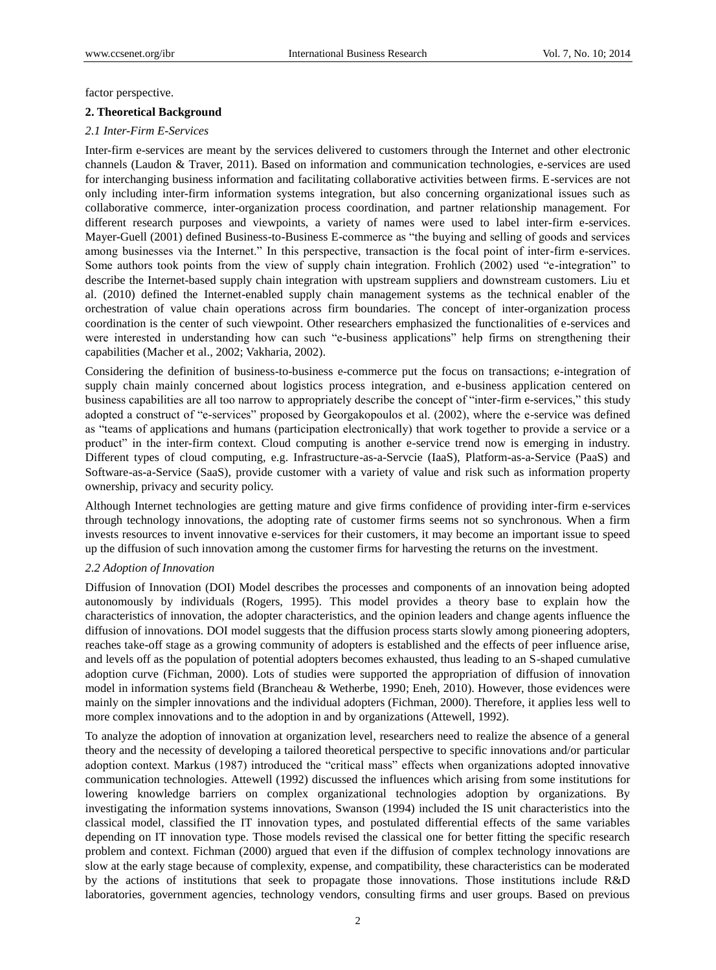factor perspective.

## **2. Theoretical Background**

### *2.1 Inter-Firm E-Services*

Inter-firm e-services are meant by the services delivered to customers through the Internet and other electronic channels (Laudon & Traver, 2011). Based on information and communication technologies, e-services are used for interchanging business information and facilitating collaborative activities between firms. E-services are not only including inter-firm information systems integration, but also concerning organizational issues such as collaborative commerce, inter-organization process coordination, and partner relationship management. For different research purposes and viewpoints, a variety of names were used to label inter-firm e-services. Mayer-Guell (2001) defined Business-to-Business E-commerce as "the buying and selling of goods and services among businesses via the Internet." In this perspective, transaction is the focal point of inter-firm e-services. Some authors took points from the view of supply chain integration. Frohlich (2002) used "e-integration" to describe the Internet-based supply chain integration with upstream suppliers and downstream customers. Liu et al. (2010) defined the Internet-enabled supply chain management systems as the technical enabler of the orchestration of value chain operations across firm boundaries. The concept of inter-organization process coordination is the center of such viewpoint. Other researchers emphasized the functionalities of e-services and were interested in understanding how can such "e-business applications" help firms on strengthening their capabilities (Macher et al., 2002; Vakharia, 2002).

Considering the definition of business-to-business e-commerce put the focus on transactions; e-integration of supply chain mainly concerned about logistics process integration, and e-business application centered on business capabilities are all too narrow to appropriately describe the concept of "inter-firm e-services," this study adopted a construct of "e-services" proposed by Georgakopoulos et al. (2002), where the e-service was defined as "teams of applications and humans (participation electronically) that work together to provide a service or a product" in the inter-firm context. Cloud computing is another e-service trend now is emerging in industry. Different types of cloud computing, e.g. Infrastructure-as-a-Servcie (IaaS), Platform-as-a-Service (PaaS) and Software-as-a-Service (SaaS), provide customer with a variety of value and risk such as information property ownership, privacy and security policy.

Although Internet technologies are getting mature and give firms confidence of providing inter-firm e-services through technology innovations, the adopting rate of customer firms seems not so synchronous. When a firm invests resources to invent innovative e-services for their customers, it may become an important issue to speed up the diffusion of such innovation among the customer firms for harvesting the returns on the investment.

#### *2.2 Adoption of Innovation*

Diffusion of Innovation (DOI) Model describes the processes and components of an innovation being adopted autonomously by individuals (Rogers, 1995). This model provides a theory base to explain how the characteristics of innovation, the adopter characteristics, and the opinion leaders and change agents influence the diffusion of innovations. DOI model suggests that the diffusion process starts slowly among pioneering adopters, reaches take-off stage as a growing community of adopters is established and the effects of peer influence arise, and levels off as the population of potential adopters becomes exhausted, thus leading to an S-shaped cumulative adoption curve (Fichman, 2000). Lots of studies were supported the appropriation of diffusion of innovation model in information systems field (Brancheau & Wetherbe, 1990; Eneh, 2010). However, those evidences were mainly on the simpler innovations and the individual adopters (Fichman, 2000). Therefore, it applies less well to more complex innovations and to the adoption in and by organizations (Attewell, 1992).

To analyze the adoption of innovation at organization level, researchers need to realize the absence of a general theory and the necessity of developing a tailored theoretical perspective to specific innovations and/or particular adoption context. Markus (1987) introduced the "critical mass" effects when organizations adopted innovative communication technologies. Attewell (1992) discussed the influences which arising from some institutions for lowering knowledge barriers on complex organizational technologies adoption by organizations. By investigating the information systems innovations, Swanson (1994) included the IS unit characteristics into the classical model, classified the IT innovation types, and postulated differential effects of the same variables depending on IT innovation type. Those models revised the classical one for better fitting the specific research problem and context. Fichman (2000) argued that even if the diffusion of complex technology innovations are slow at the early stage because of complexity, expense, and compatibility, these characteristics can be moderated by the actions of institutions that seek to propagate those innovations. Those institutions include R&D laboratories, government agencies, technology vendors, consulting firms and user groups. Based on previous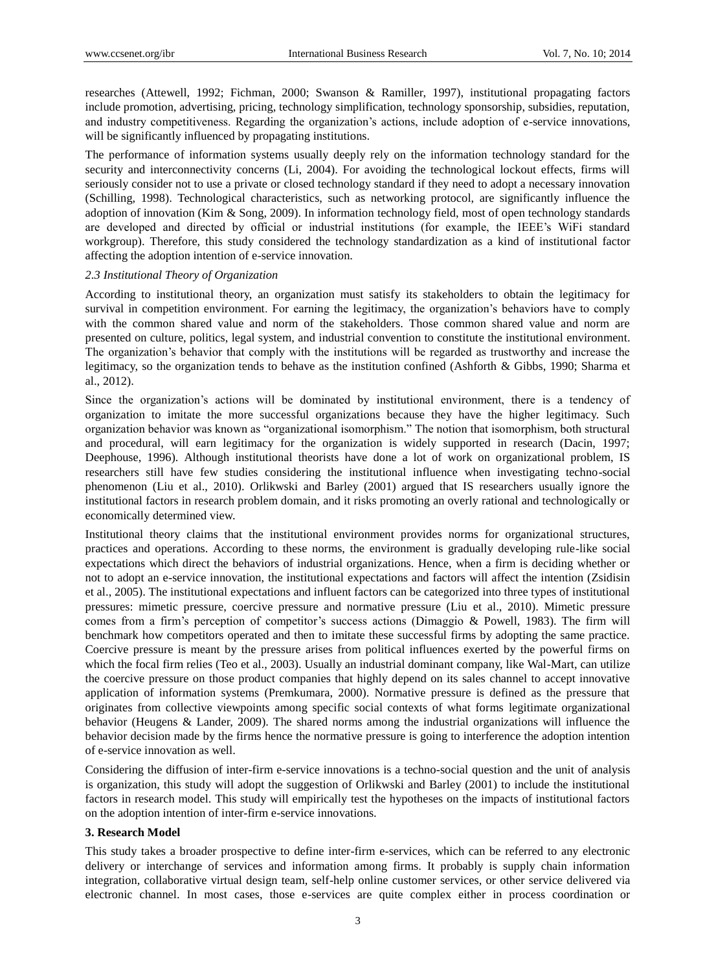researches (Attewell, 1992; Fichman, 2000; Swanson & Ramiller, 1997), institutional propagating factors include promotion, advertising, pricing, technology simplification, technology sponsorship, subsidies, reputation, and industry competitiveness. Regarding the organization's actions, include adoption of e-service innovations, will be significantly influenced by propagating institutions.

The performance of information systems usually deeply rely on the information technology standard for the security and interconnectivity concerns (Li, 2004). For avoiding the technological lockout effects, firms will seriously consider not to use a private or closed technology standard if they need to adopt a necessary innovation (Schilling, 1998). Technological characteristics, such as networking protocol, are significantly influence the adoption of innovation (Kim & Song, 2009). In information technology field, most of open technology standards are developed and directed by official or industrial institutions (for example, the IEEE's WiFi standard workgroup). Therefore, this study considered the technology standardization as a kind of institutional factor affecting the adoption intention of e-service innovation.

#### *2.3 Institutional Theory of Organization*

According to institutional theory, an organization must satisfy its stakeholders to obtain the legitimacy for survival in competition environment. For earning the legitimacy, the organization's behaviors have to comply with the common shared value and norm of the stakeholders. Those common shared value and norm are presented on culture, politics, legal system, and industrial convention to constitute the institutional environment. The organization's behavior that comply with the institutions will be regarded as trustworthy and increase the legitimacy, so the organization tends to behave as the institution confined (Ashforth & Gibbs, 1990; Sharma et al., 2012).

Since the organization's actions will be dominated by institutional environment, there is a tendency of organization to imitate the more successful organizations because they have the higher legitimacy. Such organization behavior was known as "organizational isomorphism." The notion that isomorphism, both structural and procedural, will earn legitimacy for the organization is widely supported in research (Dacin, 1997; Deephouse, 1996). Although institutional theorists have done a lot of work on organizational problem, IS researchers still have few studies considering the institutional influence when investigating techno-social phenomenon (Liu et al., 2010). Orlikwski and Barley (2001) argued that IS researchers usually ignore the institutional factors in research problem domain, and it risks promoting an overly rational and technologically or economically determined view.

Institutional theory claims that the institutional environment provides norms for organizational structures, practices and operations. According to these norms, the environment is gradually developing rule-like social expectations which direct the behaviors of industrial organizations. Hence, when a firm is deciding whether or not to adopt an e-service innovation, the institutional expectations and factors will affect the intention (Zsidisin et al., 2005). The institutional expectations and influent factors can be categorized into three types of institutional pressures: mimetic pressure, coercive pressure and normative pressure (Liu et al., 2010). Mimetic pressure comes from a firm's perception of competitor's success actions (Dimaggio & Powell, 1983). The firm will benchmark how competitors operated and then to imitate these successful firms by adopting the same practice. Coercive pressure is meant by the pressure arises from political influences exerted by the powerful firms on which the focal firm relies (Teo et al., 2003). Usually an industrial dominant company, like Wal-Mart, can utilize the coercive pressure on those product companies that highly depend on its sales channel to accept innovative application of information systems (Premkumara, 2000). Normative pressure is defined as the pressure that originates from collective viewpoints among specific social contexts of what forms legitimate organizational behavior (Heugens & Lander, 2009). The shared norms among the industrial organizations will influence the behavior decision made by the firms hence the normative pressure is going to interference the adoption intention of e-service innovation as well.

Considering the diffusion of inter-firm e-service innovations is a techno-social question and the unit of analysis is organization, this study will adopt the suggestion of Orlikwski and Barley (2001) to include the institutional factors in research model. This study will empirically test the hypotheses on the impacts of institutional factors on the adoption intention of inter-firm e-service innovations.

# **3. Research Model**

This study takes a broader prospective to define inter-firm e-services, which can be referred to any electronic delivery or interchange of services and information among firms. It probably is supply chain information integration, collaborative virtual design team, self-help online customer services, or other service delivered via electronic channel. In most cases, those e-services are quite complex either in process coordination or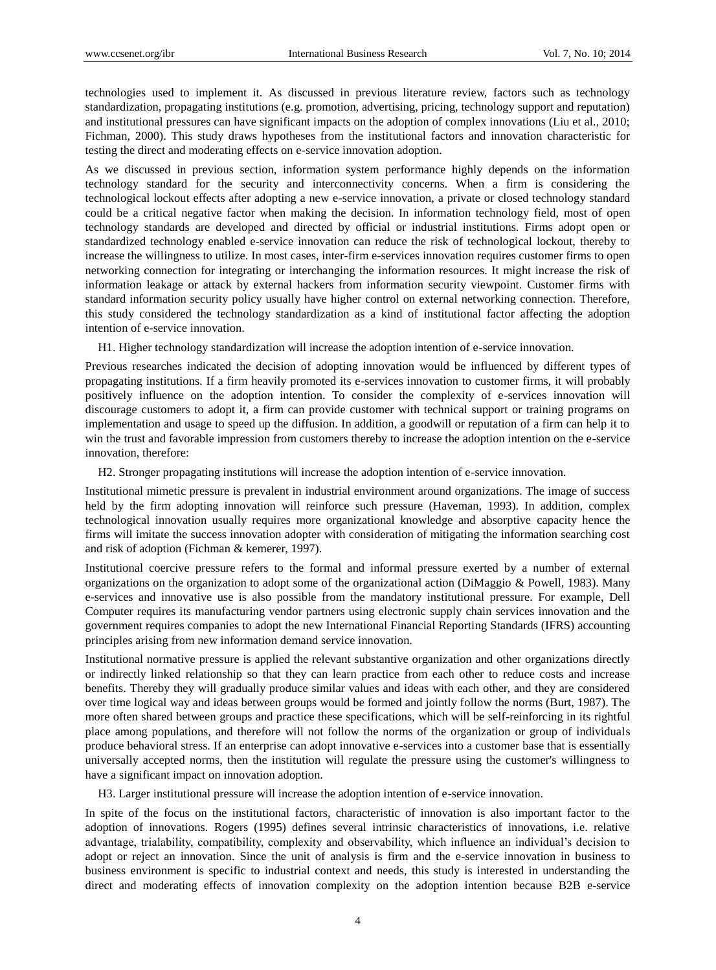technologies used to implement it. As discussed in previous literature review, factors such as technology standardization, propagating institutions (e.g. promotion, advertising, pricing, technology support and reputation) and institutional pressures can have significant impacts on the adoption of complex innovations (Liu et al., 2010; Fichman, 2000). This study draws hypotheses from the institutional factors and innovation characteristic for testing the direct and moderating effects on e-service innovation adoption.

As we discussed in previous section, information system performance highly depends on the information technology standard for the security and interconnectivity concerns. When a firm is considering the technological lockout effects after adopting a new e-service innovation, a private or closed technology standard could be a critical negative factor when making the decision. In information technology field, most of open technology standards are developed and directed by official or industrial institutions. Firms adopt open or standardized technology enabled e-service innovation can reduce the risk of technological lockout, thereby to increase the willingness to utilize. In most cases, inter-firm e-services innovation requires customer firms to open networking connection for integrating or interchanging the information resources. It might increase the risk of information leakage or attack by external hackers from information security viewpoint. Customer firms with standard information security policy usually have higher control on external networking connection. Therefore, this study considered the technology standardization as a kind of institutional factor affecting the adoption intention of e-service innovation.

H1. Higher technology standardization will increase the adoption intention of e-service innovation.

Previous researches indicated the decision of adopting innovation would be influenced by different types of propagating institutions. If a firm heavily promoted its e-services innovation to customer firms, it will probably positively influence on the adoption intention. To consider the complexity of e-services innovation will discourage customers to adopt it, a firm can provide customer with technical support or training programs on implementation and usage to speed up the diffusion. In addition, a goodwill or reputation of a firm can help it to win the trust and favorable impression from customers thereby to increase the adoption intention on the e-service innovation, therefore:

H2. Stronger propagating institutions will increase the adoption intention of e-service innovation.

Institutional mimetic pressure is prevalent in industrial environment around organizations. The image of success held by the firm adopting innovation will reinforce such pressure (Haveman, 1993). In addition, complex technological innovation usually requires more organizational knowledge and absorptive capacity hence the firms will imitate the success innovation adopter with consideration of mitigating the information searching cost and risk of adoption (Fichman & kemerer, 1997).

Institutional coercive pressure refers to the formal and informal pressure exerted by a number of external organizations on the organization to adopt some of the organizational action (DiMaggio & Powell, 1983). Many e-services and innovative use is also possible from the mandatory institutional pressure. For example, Dell Computer requires its manufacturing vendor partners using electronic supply chain services innovation and the government requires companies to adopt the new International Financial Reporting Standards (IFRS) accounting principles arising from new information demand service innovation.

Institutional normative pressure is applied the relevant substantive organization and other organizations directly or indirectly linked relationship so that they can learn practice from each other to reduce costs and increase benefits. Thereby they will gradually produce similar values and ideas with each other, and they are considered over time logical way and ideas between groups would be formed and jointly follow the norms (Burt, 1987). The more often shared between groups and practice these specifications, which will be self-reinforcing in its rightful place among populations, and therefore will not follow the norms of the organization or group of individuals produce behavioral stress. If an enterprise can adopt innovative e-services into a customer base that is essentially universally accepted norms, then the institution will regulate the pressure using the customer's willingness to have a significant impact on innovation adoption.

H3. Larger institutional pressure will increase the adoption intention of e-service innovation.

In spite of the focus on the institutional factors, characteristic of innovation is also important factor to the adoption of innovations. Rogers (1995) defines several intrinsic characteristics of innovations, i.e. relative advantage, trialability, compatibility, complexity and observability, which influence an individual's decision to adopt or reject an innovation. Since the unit of analysis is firm and the e-service innovation in business to business environment is specific to industrial context and needs, this study is interested in understanding the direct and moderating effects of innovation complexity on the adoption intention because B2B e-service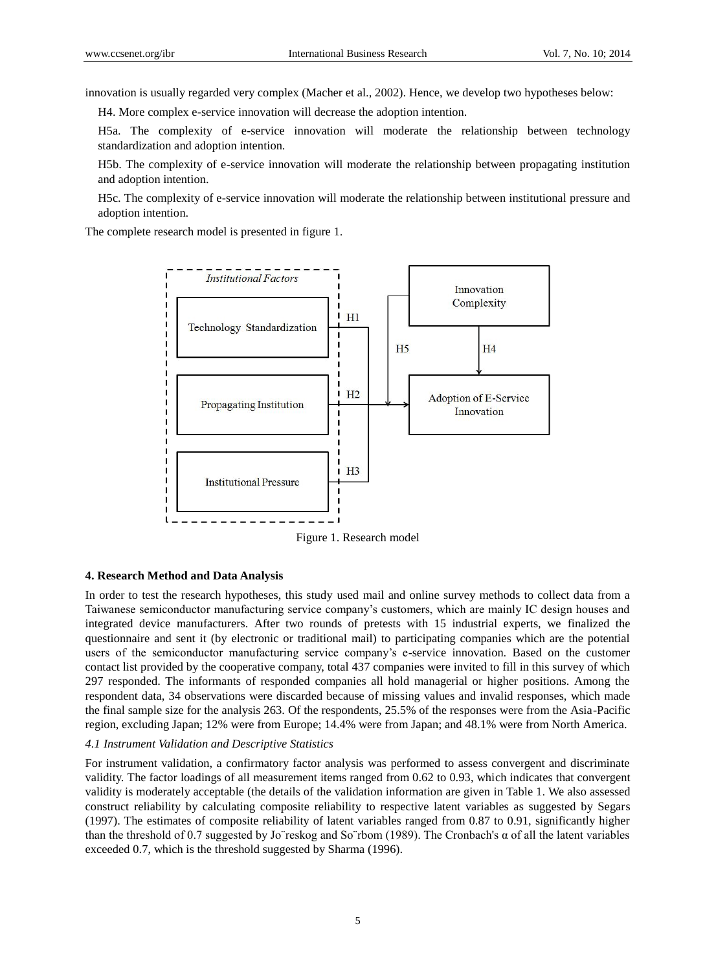innovation is usually regarded very complex (Macher et al., 2002). Hence, we develop two hypotheses below:

H4. More complex e-service innovation will decrease the adoption intention.

H5a. The complexity of e-service innovation will moderate the relationship between technology standardization and adoption intention.

H5b. The complexity of e-service innovation will moderate the relationship between propagating institution and adoption intention.

H5c. The complexity of e-service innovation will moderate the relationship between institutional pressure and adoption intention.

The complete research model is presented in figure 1.



Figure 1. Research model

#### **4. Research Method and Data Analysis**

In order to test the research hypotheses, this study used mail and online survey methods to collect data from a Taiwanese semiconductor manufacturing service company's customers, which are mainly IC design houses and integrated device manufacturers. After two rounds of pretests with 15 industrial experts, we finalized the questionnaire and sent it (by electronic or traditional mail) to participating companies which are the potential users of the semiconductor manufacturing service company's e-service innovation. Based on the customer contact list provided by the cooperative company, total 437 companies were invited to fill in this survey of which 297 responded. The informants of responded companies all hold managerial or higher positions. Among the respondent data, 34 observations were discarded because of missing values and invalid responses, which made the final sample size for the analysis 263. Of the respondents, 25.5% of the responses were from the Asia-Pacific region, excluding Japan; 12% were from Europe; 14.4% were from Japan; and 48.1% were from North America.

### *4.1 Instrument Validation and Descriptive Statistics*

For instrument validation, a confirmatory factor analysis was performed to assess convergent and discriminate validity. The factor loadings of all measurement items ranged from 0.62 to 0.93, which indicates that convergent validity is moderately acceptable (the details of the validation information are given in Table 1. We also assessed construct reliability by calculating composite reliability to respective latent variables as suggested by Segars (1997). The estimates of composite reliability of latent variables ranged from 0.87 to 0.91, significantly higher than the threshold of 0.7 suggested by Jo¨reskog and So¨rbom (1989). The Cronbach's α of all the latent variables exceeded 0.7, which is the threshold suggested by Sharma (1996).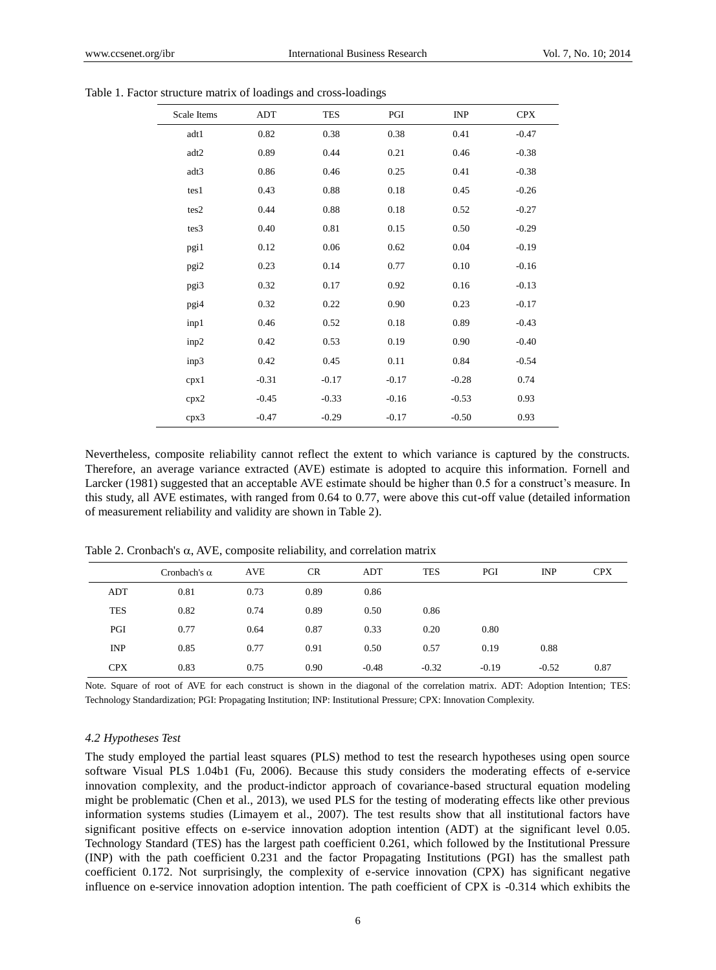| Scale Items | <b>ADT</b> | <b>TES</b> | PGI     | INP     | <b>CPX</b> |
|-------------|------------|------------|---------|---------|------------|
| adt1        | 0.82       | 0.38       | 0.38    | 0.41    | $-0.47$    |
| adt2        | 0.89       | 0.44       | 0.21    | 0.46    | $-0.38$    |
| adt3        | 0.86       | 0.46       | 0.25    | 0.41    | $-0.38$    |
| tes1        | 0.43       | 0.88       | 0.18    | 0.45    | $-0.26$    |
| tes2        | 0.44       | 0.88       | 0.18    | 0.52    | $-0.27$    |
| tes3        | 0.40       | 0.81       | 0.15    | 0.50    | $-0.29$    |
| pgi1        | 0.12       | 0.06       | 0.62    | 0.04    | $-0.19$    |
| pgi2        | 0.23       | 0.14       | 0.77    | 0.10    | $-0.16$    |
| pgi3        | 0.32       | 0.17       | 0.92    | 0.16    | $-0.13$    |
| pgi4        | 0.32       | 0.22       | 0.90    | 0.23    | $-0.17$    |
| inp1        | 0.46       | 0.52       | 0.18    | 0.89    | $-0.43$    |
| inp2        | 0.42       | 0.53       | 0.19    | 0.90    | $-0.40$    |
| inp3        | 0.42       | 0.45       | 0.11    | 0.84    | $-0.54$    |
| cpx1        | $-0.31$    | $-0.17$    | $-0.17$ | $-0.28$ | 0.74       |
| cpx2        | $-0.45$    | $-0.33$    | $-0.16$ | $-0.53$ | 0.93       |
| cpx3        | $-0.47$    | $-0.29$    | $-0.17$ | $-0.50$ | 0.93       |

Table 1. Factor structure matrix of loadings and cross-loadings

Nevertheless, composite reliability cannot reflect the extent to which variance is captured by the constructs. Therefore, an average variance extracted (AVE) estimate is adopted to acquire this information. Fornell and Larcker (1981) suggested that an acceptable AVE estimate should be higher than 0.5 for a construct's measure. In this study, all AVE estimates, with ranged from 0.64 to 0.77, were above this cut-off value (detailed information of measurement reliability and validity are shown in Table 2).

|            | Cronbach's $\alpha$ | <b>AVE</b> | <b>CR</b> | ADT     | <b>TES</b> | PGI     | <b>INP</b> | <b>CPX</b> |
|------------|---------------------|------------|-----------|---------|------------|---------|------------|------------|
| <b>ADT</b> | 0.81                | 0.73       | 0.89      | 0.86    |            |         |            |            |
| <b>TES</b> | 0.82                | 0.74       | 0.89      | 0.50    | 0.86       |         |            |            |
| PGI        | 0.77                | 0.64       | 0.87      | 0.33    | 0.20       | 0.80    |            |            |
| <b>INP</b> | 0.85                | 0.77       | 0.91      | 0.50    | 0.57       | 0.19    | 0.88       |            |
| <b>CPX</b> | 0.83                | 0.75       | 0.90      | $-0.48$ | $-0.32$    | $-0.19$ | $-0.52$    | 0.87       |

Table 2. Cronbach's  $\alpha$ , AVE, composite reliability, and correlation matrix

Note. Square of root of AVE for each construct is shown in the diagonal of the correlation matrix. ADT: Adoption Intention; TES: Technology Standardization; PGI: Propagating Institution; INP: Institutional Pressure; CPX: Innovation Complexity.

#### *4.2 Hypotheses Test*

The study employed the partial least squares (PLS) method to test the research hypotheses using open source software Visual PLS 1.04b1 (Fu, 2006). Because this study considers the moderating effects of e-service innovation complexity, and the product-indictor approach of covariance-based structural equation modeling might be problematic (Chen et al., 2013), we used PLS for the testing of moderating effects like other previous information systems studies (Limayem et al., 2007). The test results show that all institutional factors have significant positive effects on e-service innovation adoption intention (ADT) at the significant level 0.05. Technology Standard (TES) has the largest path coefficient 0.261, which followed by the Institutional Pressure (INP) with the path coefficient 0.231 and the factor Propagating Institutions (PGI) has the smallest path coefficient 0.172. Not surprisingly, the complexity of e-service innovation (CPX) has significant negative influence on e-service innovation adoption intention. The path coefficient of CPX is -0.314 which exhibits the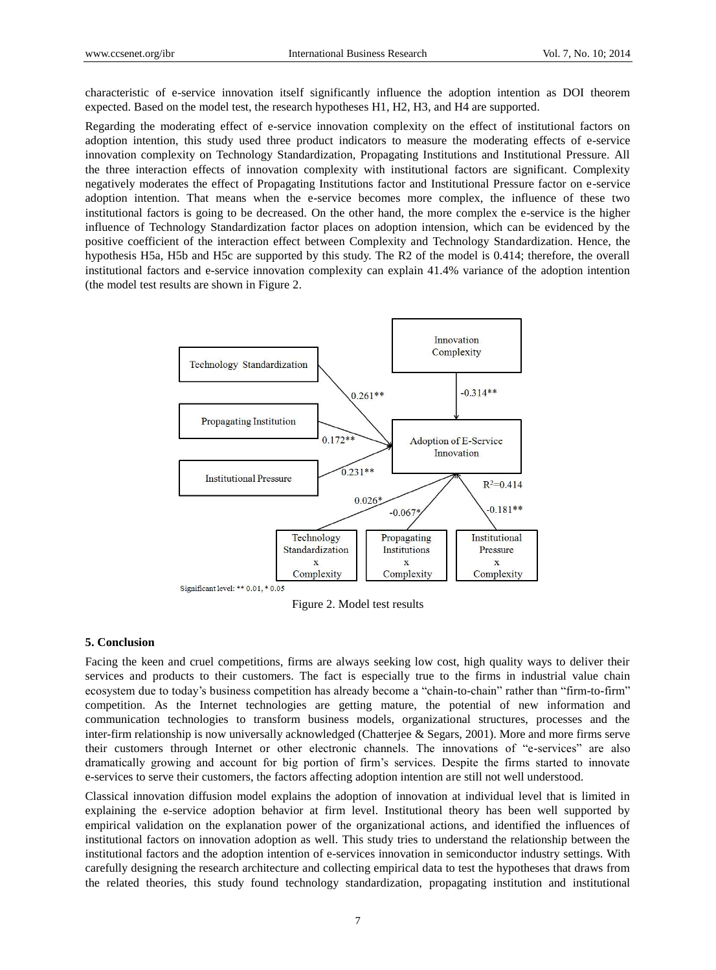characteristic of e-service innovation itself significantly influence the adoption intention as DOI theorem expected. Based on the model test, the research hypotheses H1, H2, H3, and H4 are supported.

Regarding the moderating effect of e-service innovation complexity on the effect of institutional factors on adoption intention, this study used three product indicators to measure the moderating effects of e-service innovation complexity on Technology Standardization, Propagating Institutions and Institutional Pressure. All the three interaction effects of innovation complexity with institutional factors are significant. Complexity negatively moderates the effect of Propagating Institutions factor and Institutional Pressure factor on e-service adoption intention. That means when the e-service becomes more complex, the influence of these two institutional factors is going to be decreased. On the other hand, the more complex the e-service is the higher influence of Technology Standardization factor places on adoption intension, which can be evidenced by the positive coefficient of the interaction effect between Complexity and Technology Standardization. Hence, the hypothesis H5a, H5b and H5c are supported by this study. The R2 of the model is 0.414; therefore, the overall institutional factors and e-service innovation complexity can explain 41.4% variance of the adoption intention (the model test results are shown in Figure 2.



Figure 2. Model test results

#### **5. Conclusion**

Facing the keen and cruel competitions, firms are always seeking low cost, high quality ways to deliver their services and products to their customers. The fact is especially true to the firms in industrial value chain ecosystem due to today's business competition has already become a "chain-to-chain" rather than "firm-to-firm" competition. As the Internet technologies are getting mature, the potential of new information and communication technologies to transform business models, organizational structures, processes and the inter-firm relationship is now universally acknowledged (Chatterjee & Segars, 2001). More and more firms serve their customers through Internet or other electronic channels. The innovations of "e-services" are also dramatically growing and account for big portion of firm's services. Despite the firms started to innovate e-services to serve their customers, the factors affecting adoption intention are still not well understood.

Classical innovation diffusion model explains the adoption of innovation at individual level that is limited in explaining the e-service adoption behavior at firm level. Institutional theory has been well supported by empirical validation on the explanation power of the organizational actions, and identified the influences of institutional factors on innovation adoption as well. This study tries to understand the relationship between the institutional factors and the adoption intention of e-services innovation in semiconductor industry settings. With carefully designing the research architecture and collecting empirical data to test the hypotheses that draws from the related theories, this study found technology standardization, propagating institution and institutional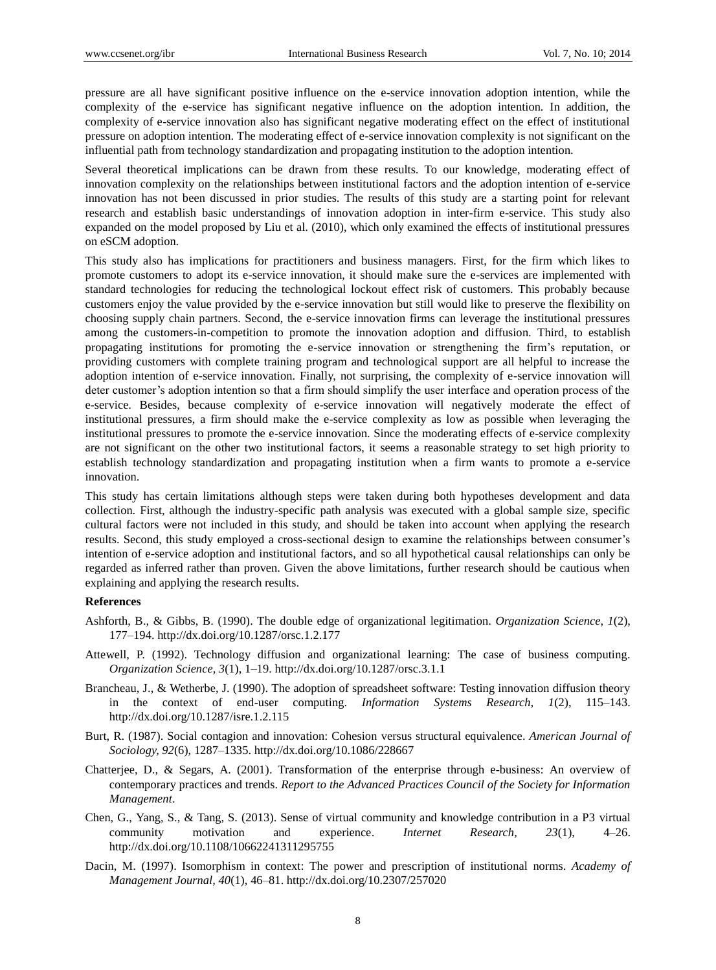pressure are all have significant positive influence on the e-service innovation adoption intention, while the complexity of the e-service has significant negative influence on the adoption intention. In addition, the complexity of e-service innovation also has significant negative moderating effect on the effect of institutional pressure on adoption intention. The moderating effect of e-service innovation complexity is not significant on the influential path from technology standardization and propagating institution to the adoption intention.

Several theoretical implications can be drawn from these results. To our knowledge, moderating effect of innovation complexity on the relationships between institutional factors and the adoption intention of e-service innovation has not been discussed in prior studies. The results of this study are a starting point for relevant research and establish basic understandings of innovation adoption in inter-firm e-service. This study also expanded on the model proposed by Liu et al. (2010), which only examined the effects of institutional pressures on eSCM adoption.

This study also has implications for practitioners and business managers. First, for the firm which likes to promote customers to adopt its e-service innovation, it should make sure the e-services are implemented with standard technologies for reducing the technological lockout effect risk of customers. This probably because customers enjoy the value provided by the e-service innovation but still would like to preserve the flexibility on choosing supply chain partners. Second, the e-service innovation firms can leverage the institutional pressures among the customers-in-competition to promote the innovation adoption and diffusion. Third, to establish propagating institutions for promoting the e-service innovation or strengthening the firm's reputation, or providing customers with complete training program and technological support are all helpful to increase the adoption intention of e-service innovation. Finally, not surprising, the complexity of e-service innovation will deter customer's adoption intention so that a firm should simplify the user interface and operation process of the e-service. Besides, because complexity of e-service innovation will negatively moderate the effect of institutional pressures, a firm should make the e-service complexity as low as possible when leveraging the institutional pressures to promote the e-service innovation. Since the moderating effects of e-service complexity are not significant on the other two institutional factors, it seems a reasonable strategy to set high priority to establish technology standardization and propagating institution when a firm wants to promote a e-service innovation.

This study has certain limitations although steps were taken during both hypotheses development and data collection. First, although the industry-specific path analysis was executed with a global sample size, specific cultural factors were not included in this study, and should be taken into account when applying the research results. Second, this study employed a cross-sectional design to examine the relationships between consumer's intention of e-service adoption and institutional factors, and so all hypothetical causal relationships can only be regarded as inferred rather than proven. Given the above limitations, further research should be cautious when explaining and applying the research results.

# **References**

- Ashforth, B., & Gibbs, B. (1990). The double edge of organizational legitimation. *Organization Science, 1*(2), 177–194. http://dx.doi.org/10.1287/orsc.1.2.177
- Attewell, P. (1992). Technology diffusion and organizational learning: The case of business computing. *Organization Science, 3*(1), 1–19. http://dx.doi.org/10.1287/orsc.3.1.1
- Brancheau, J., & Wetherbe, J. (1990). The adoption of spreadsheet software: Testing innovation diffusion theory in the context of end-user computing. *Information Systems Research, 1*(2), 115–143. http://dx.doi.org/10.1287/isre.1.2.115
- Burt, R. (1987). Social contagion and innovation: Cohesion versus structural equivalence. *American Journal of Sociology, 92*(6), 1287–1335. http://dx.doi.org/10.1086/228667
- Chatterjee, D., & Segars, A. (2001). Transformation of the enterprise through e-business: An overview of contemporary practices and trends. *Report to the Advanced Practices Council of the Society for Information Management*.
- Chen, G., Yang, S., & Tang, S. (2013). Sense of virtual community and knowledge contribution in a P3 virtual community motivation and experience. *Internet Research, 23*(1), 4–26. http://dx.doi.org/10.1108/10662241311295755
- Dacin, M. (1997). Isomorphism in context: The power and prescription of institutional norms. *Academy of Management Journal, 40*(1), 46–81. http://dx.doi.org/10.2307/257020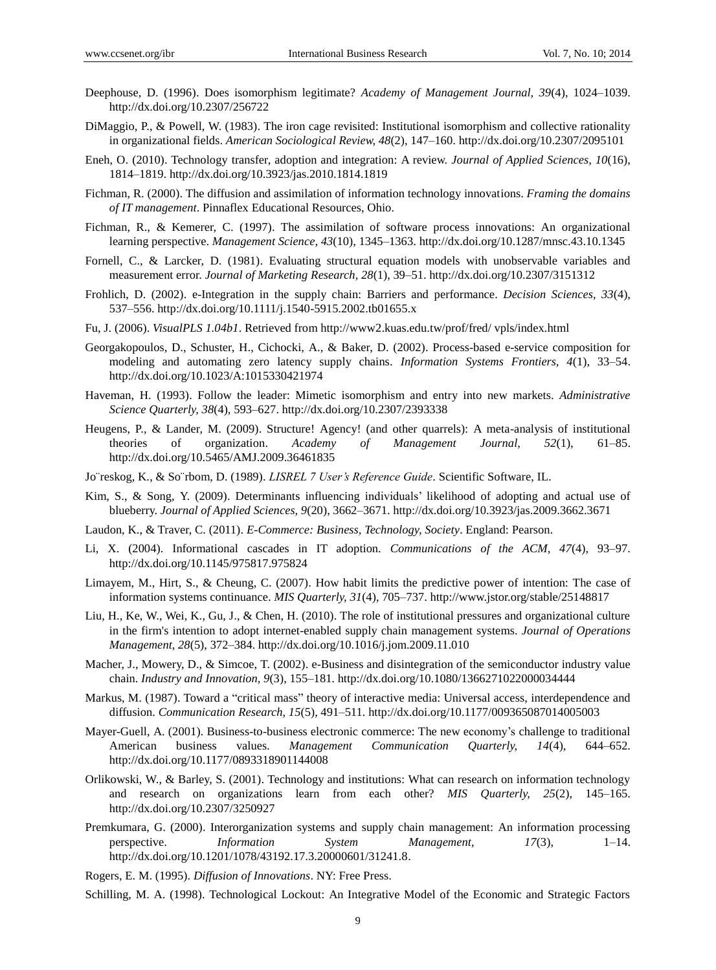- Deephouse, D. (1996). Does isomorphism legitimate? *Academy of Management Journal, 39*(4), 1024–1039. http://dx.doi.org/10.2307/256722
- DiMaggio, P., & Powell, W. (1983). The iron cage revisited: Institutional isomorphism and collective rationality in organizational fields. *American Sociological Review, 48*(2), 147–160. http://dx.doi.org/10.2307/2095101
- Eneh, O. (2010). Technology transfer, adoption and integration: A review. *Journal of Applied Sciences, 10*(16), 1814–1819. http://dx.doi.org/10.3923/jas.2010.1814.1819
- Fichman, R. (2000). The diffusion and assimilation of information technology innovations. *Framing the domains of IT management*. Pinnaflex Educational Resources, Ohio.
- Fichman, R., & Kemerer, C. (1997). The assimilation of software process innovations: An organizational learning perspective. *Management Science, 43*(10), 1345–1363. http://dx.doi.org/10.1287/mnsc.43.10.1345
- Fornell, C., & Larcker, D. (1981). Evaluating structural equation models with unobservable variables and measurement error. *Journal of Marketing Research, 28*(1), 39–51. http://dx.doi.org/10.2307/3151312
- Frohlich, D. (2002). e-Integration in the supply chain: Barriers and performance. *Decision Sciences, 33*(4), 537–556. http://dx.doi.org/10.1111/j.1540-5915.2002.tb01655.x
- Fu, J. (2006). *VisualPLS 1.04b1*. Retrieved from http://www2.kuas.edu.tw/prof/fred/ vpls/index.html
- Georgakopoulos, D., Schuster, H., Cichocki, A., & Baker, D. (2002). Process-based e-service composition for modeling and automating zero latency supply chains. *Information Systems Frontiers, 4*(1), 33–54. http://dx.doi.org/10.1023/A:1015330421974
- Haveman, H. (1993). Follow the leader: Mimetic isomorphism and entry into new markets. *Administrative Science Quarterly, 38*(4), 593–627. http://dx.doi.org/10.2307/2393338
- Heugens, P., & Lander, M. (2009). Structure! Agency! (and other quarrels): A meta-analysis of institutional theories of organization. *Academy of Management Journal, 52*(1), 61–85. http://dx.doi.org/10.5465/AMJ.2009.36461835
- Jo¨reskog, K., & So¨rbom, D. (1989). *LISREL 7 User's Reference Guide*. Scientific Software, IL.
- Kim, S., & Song, Y. (2009). Determinants influencing individuals' likelihood of adopting and actual use of blueberry. *Journal of Applied Sciences, 9*(20), 3662–3671. http://dx.doi.org/10.3923/jas.2009.3662.3671
- Laudon, K., & Traver, C. (2011). *E-Commerce: Business, Technology, Society*. England: Pearson.
- Li, X. (2004). Informational cascades in IT adoption. *Communications of the ACM, 47*(4), 93–97. http://dx.doi.org/10.1145/975817.975824
- Limayem, M., Hirt, S., & Cheung, C. (2007). How habit limits the predictive power of intention: The case of information systems continuance. *MIS Quarterly, 31*(4), 705–737. http://www.jstor.org/stable/25148817
- Liu, H., Ke, W., Wei, K., Gu, J., & Chen, H. (2010). The role of institutional pressures and organizational culture in the firm's intention to adopt internet-enabled supply chain management systems. *Journal of Operations Management, 28*(5), 372–384. http://dx.doi.org/10.1016/j.jom.2009.11.010
- Macher, J., Mowery, D., & Simcoe, T. (2002). e-Business and disintegration of the semiconductor industry value chain. *Industry and Innovation, 9*(3), 155–181. http://dx.doi.org/10.1080/1366271022000034444
- Markus, M. (1987). Toward a "critical mass" theory of interactive media: Universal access, interdependence and diffusion. *Communication Research, 15*(5), 491–511. http://dx.doi.org/10.1177/009365087014005003
- Mayer-Guell, A. (2001). Business-to-business electronic commerce: The new economy's challenge to traditional American business values. *Management Communication Quarterly, 14*(4), 644–652. http://dx.doi.org/10.1177/0893318901144008
- Orlikowski, W., & Barley, S. (2001). Technology and institutions: What can research on information technology and research on organizations learn from each other? *MIS Quarterly, 25*(2), 145–165. http://dx.doi.org/10.2307/3250927
- Premkumara, G. (2000). Interorganization systems and supply chain management: An information processing perspective. *Information System Management, 17*(3), 1–14. http://dx.doi.org/10.1201/1078/43192.17.3.20000601/31241.8.
- Rogers, E. M. (1995). *Diffusion of Innovations*. NY: Free Press.
- Schilling, M. A. (1998). Technological Lockout: An Integrative Model of the Economic and Strategic Factors